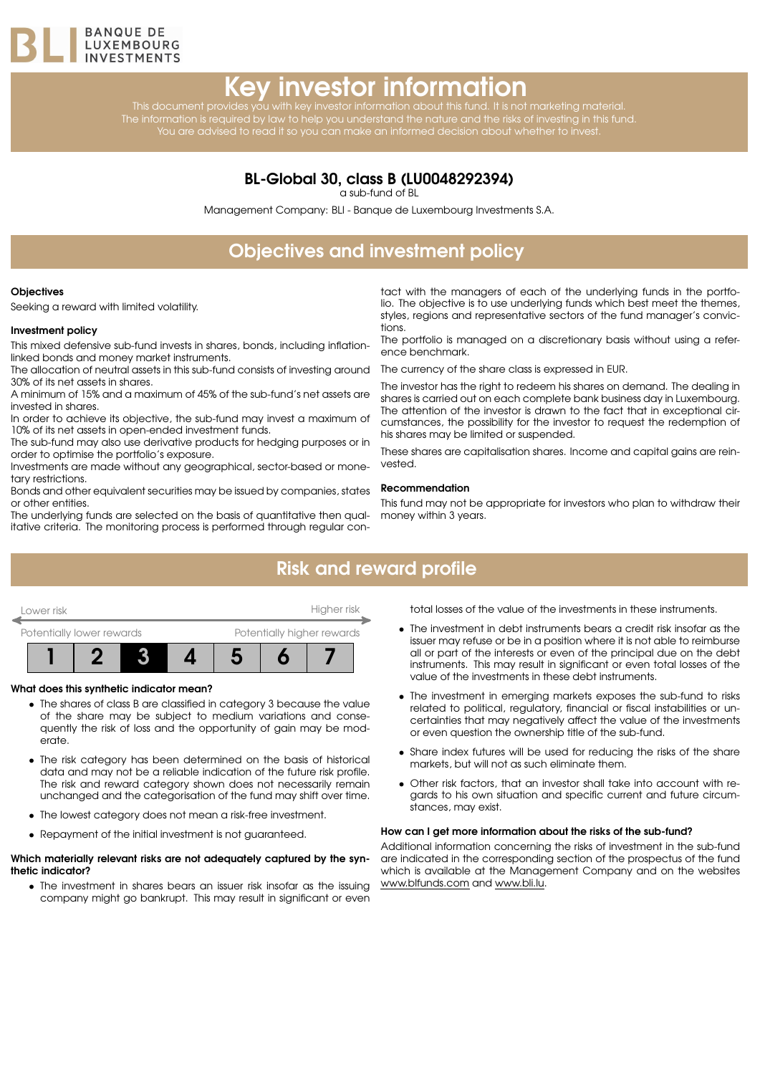

# Key investor information

This document provides you with key investor information about this fund. It is not marketing material. The information is required by law to help you understand the nature and the risks of investing in this fund. You are advised to read it so you can make an informed decision about whether to invest.

### BL-Global 30, class B (LU0048292394)

a sub-fund of BL

Management Company: BLI - Banque de Luxembourg Investments S.A.

# Objectives and investment policy

#### **Objectives**

Seeking a reward with limited volatility.

#### Investment policy

This mixed defensive sub-fund invests in shares, bonds, including inflationlinked bonds and money market instruments.

The allocation of neutral assets in this sub-fund consists of investing around 30% of its net assets in shares.

A minimum of 15% and a maximum of 45% of the sub-fund's net assets are invested in shares.

In order to achieve its objective, the sub-fund may invest a maximum of 10% of its net assets in open-ended investment funds.

The sub-fund may also use derivative products for hedging purposes or in order to optimise the portfolio's exposure.

Investments are made without any geographical, sector-based or monetary restrictions.

Bonds and other equivalent securities may be issued by companies, states or other entities.

The underlying funds are selected on the basis of quantitative then qualitative criteria. The monitoring process is performed through regular con-

tact with the managers of each of the underlying funds in the portfolio. The objective is to use underlying funds which best meet the themes, styles, regions and representative sectors of the fund manager's convictions.

The portfolio is managed on a discretionary basis without using a reference benchmark.

The currency of the share class is expressed in EUR.

The investor has the right to redeem his shares on demand. The dealing in shares is carried out on each complete bank business day in Luxembourg. The attention of the investor is drawn to the fact that in exceptional circumstances, the possibility for the investor to request the redemption of his shares may be limited or suspended.

These shares are capitalisation shares. Income and capital gains are reinvested.

#### Recommendation

This fund may not be appropriate for investors who plan to withdraw their money within 3 years.

### Risk and reward profile



#### What does this synthetic indicator mean?

- The shares of class B are classified in category 3 because the value of the share may be subject to medium variations and consequently the risk of loss and the opportunity of gain may be moderate.
- The risk category has been determined on the basis of historical data and may not be a reliable indication of the future risk profile. The risk and reward category shown does not necessarily remain unchanged and the categorisation of the fund may shift over time.
- The lowest category does not mean a risk-free investment.
- Repayment of the initial investment is not guaranteed.

#### Which materially relevant risks are not adequately captured by the synthetic indicator?

• The investment in shares bears an issuer risk insofar as the issuing company might go bankrupt. This may result in significant or even total losses of the value of the investments in these instruments.

- The investment in debt instruments bears a credit risk insofar as the issuer may refuse or be in a position where it is not able to reimburse all or part of the interests or even of the principal due on the debt instruments. This may result in significant or even total losses of the value of the investments in these debt instruments.
- The investment in emerging markets exposes the sub-fund to risks related to political, regulatory, financial or fiscal instabilities or uncertainties that may negatively affect the value of the investments or even question the ownership title of the sub-fund.
- Share index futures will be used for reducing the risks of the share markets, but will not as such eliminate them.
- Other risk factors, that an investor shall take into account with regards to his own situation and specific current and future circumstances, may exist.

#### How can I get more information about the risks of the sub-fund?

Additional information concerning the risks of investment in the sub-fund are indicated in the corresponding section of the prospectus of the fund which is available at the Management Company and on the websites [www.blfunds.com](http://www.blfunds.com) and [www.bli.lu.](http://www.bli.lu)